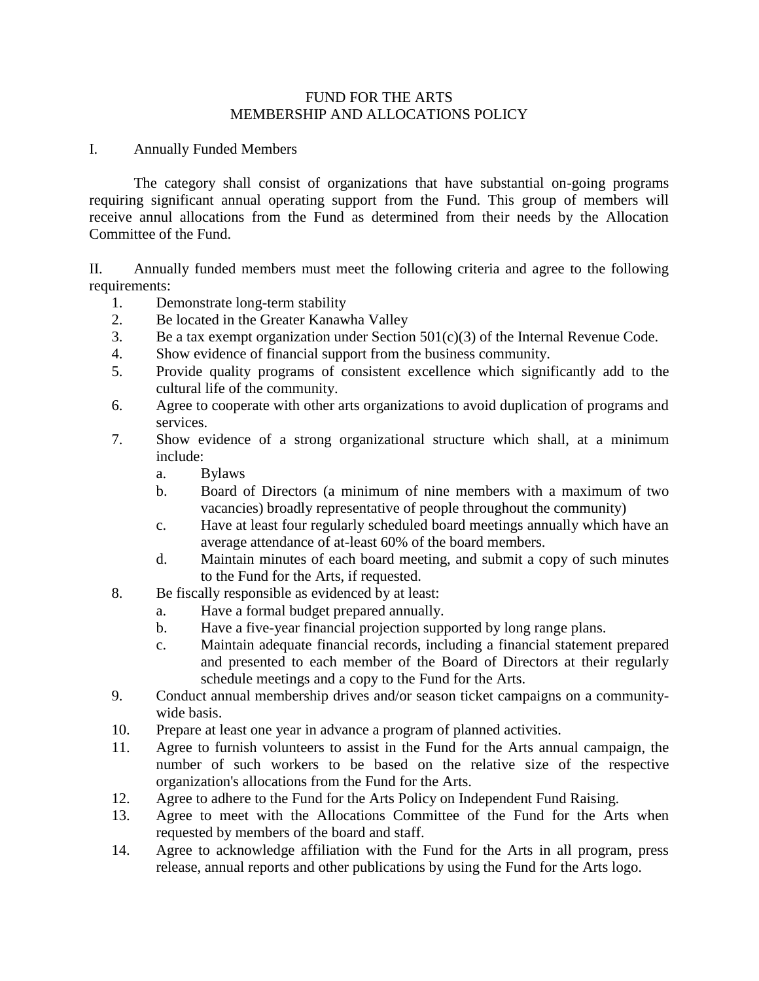### FUND FOR THE ARTS MEMBERSHIP AND ALLOCATIONS POLICY

I. Annually Funded Members

The category shall consist of organizations that have substantial on-going programs requiring significant annual operating support from the Fund. This group of members will receive annul allocations from the Fund as determined from their needs by the Allocation Committee of the Fund.

II. Annually funded members must meet the following criteria and agree to the following requirements:

- 1. Demonstrate long-term stability
- 2. Be located in the Greater Kanawha Valley
- 3. Be a tax exempt organization under Section 501(c)(3) of the Internal Revenue Code.
- 4. Show evidence of financial support from the business community.
- 5. Provide quality programs of consistent excellence which significantly add to the cultural life of the community.
- 6. Agree to cooperate with other arts organizations to avoid duplication of programs and services.
- 7. Show evidence of a strong organizational structure which shall, at a minimum include:
	- a. Bylaws
	- b. Board of Directors (a minimum of nine members with a maximum of two vacancies) broadly representative of people throughout the community)
	- c. Have at least four regularly scheduled board meetings annually which have an average attendance of at-least 60% of the board members.
	- d. Maintain minutes of each board meeting, and submit a copy of such minutes to the Fund for the Arts, if requested.
- 8. Be fiscally responsible as evidenced by at least:
	- a. Have a formal budget prepared annually.
	- b. Have a five-year financial projection supported by long range plans.
	- c. Maintain adequate financial records, including a financial statement prepared and presented to each member of the Board of Directors at their regularly schedule meetings and a copy to the Fund for the Arts.
- 9. Conduct annual membership drives and/or season ticket campaigns on a communitywide basis.
- 10. Prepare at least one year in advance a program of planned activities.
- 11. Agree to furnish volunteers to assist in the Fund for the Arts annual campaign, the number of such workers to be based on the relative size of the respective organization's allocations from the Fund for the Arts.
- 12. Agree to adhere to the Fund for the Arts Policy on Independent Fund Raising.
- 13. Agree to meet with the Allocations Committee of the Fund for the Arts when requested by members of the board and staff.
- 14. Agree to acknowledge affiliation with the Fund for the Arts in all program, press release, annual reports and other publications by using the Fund for the Arts logo.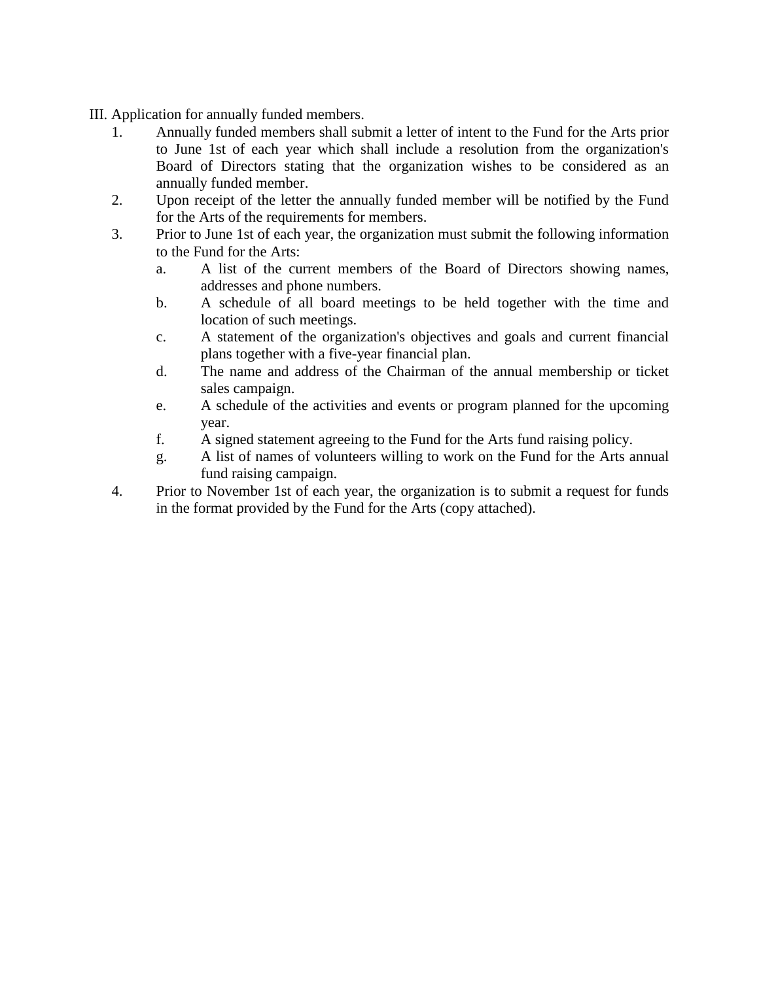- III. Application for annually funded members.
	- 1. Annually funded members shall submit a letter of intent to the Fund for the Arts prior to June 1st of each year which shall include a resolution from the organization's Board of Directors stating that the organization wishes to be considered as an annually funded member.
	- 2. Upon receipt of the letter the annually funded member will be notified by the Fund for the Arts of the requirements for members.
	- 3. Prior to June 1st of each year, the organization must submit the following information to the Fund for the Arts:
		- a. A list of the current members of the Board of Directors showing names, addresses and phone numbers.
		- b. A schedule of all board meetings to be held together with the time and location of such meetings.
		- c. A statement of the organization's objectives and goals and current financial plans together with a five-year financial plan.
		- d. The name and address of the Chairman of the annual membership or ticket sales campaign.
		- e. A schedule of the activities and events or program planned for the upcoming year.
		- f. A signed statement agreeing to the Fund for the Arts fund raising policy.
		- g. A list of names of volunteers willing to work on the Fund for the Arts annual fund raising campaign.
	- 4. Prior to November 1st of each year, the organization is to submit a request for funds in the format provided by the Fund for the Arts (copy attached).